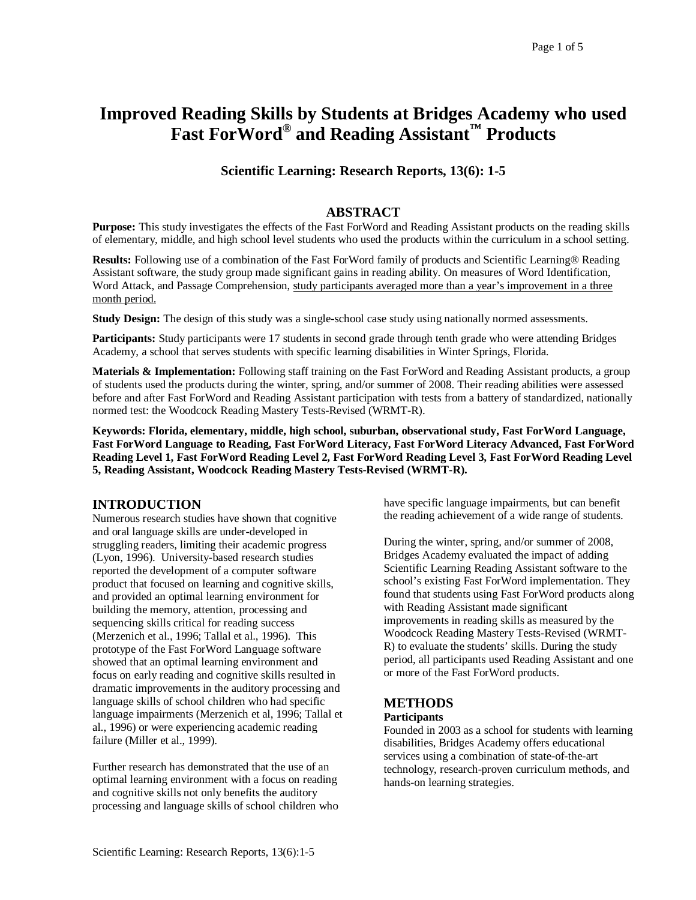# **Improved Reading Skills by Students at Bridges Academy who used Fast ForWord® and Reading Assistant™ Products**

# **Scientific Learning: Research Reports, 13(6): 1-5**

## **ABSTRACT**

**Purpose:** This study investigates the effects of the Fast ForWord and Reading Assistant products on the reading skills of elementary, middle, and high school level students who used the products within the curriculum in a school setting.

**Results:** Following use of a combination of the Fast ForWord family of products and Scientific Learning® Reading Assistant software, the study group made significant gains in reading ability. On measures of Word Identification, Word Attack, and Passage Comprehension, study participants averaged more than a year's improvement in a three month period.

**Study Design:** The design of this study was a single-school case study using nationally normed assessments.

**Participants:** Study participants were 17 students in second grade through tenth grade who were attending Bridges Academy, a school that serves students with specific learning disabilities in Winter Springs, Florida.

**Materials & Implementation:** Following staff training on the Fast ForWord and Reading Assistant products, a group of students used the products during the winter, spring, and/or summer of 2008. Their reading abilities were assessed before and after Fast ForWord and Reading Assistant participation with tests from a battery of standardized, nationally normed test: the Woodcock Reading Mastery Tests-Revised (WRMT-R).

**Keywords: Florida, elementary, middle, high school, suburban, observational study, Fast ForWord Language, Fast ForWord Language to Reading, Fast ForWord Literacy, Fast ForWord Literacy Advanced, Fast ForWord Reading Level 1, Fast ForWord Reading Level 2, Fast ForWord Reading Level 3, Fast ForWord Reading Level 5, Reading Assistant, Woodcock Reading Mastery Tests-Revised (WRMT-R).** 

# **INTRODUCTION**

Numerous research studies have shown that cognitive and oral language skills are under-developed in struggling readers, limiting their academic progress (Lyon, 1996). University-based research studies reported the development of a computer software product that focused on learning and cognitive skills, and provided an optimal learning environment for building the memory, attention, processing and sequencing skills critical for reading success (Merzenich et al., 1996; Tallal et al., 1996). This prototype of the Fast ForWord Language software showed that an optimal learning environment and focus on early reading and cognitive skills resulted in dramatic improvements in the auditory processing and language skills of school children who had specific language impairments (Merzenich et al, 1996; Tallal et al., 1996) or were experiencing academic reading failure (Miller et al., 1999).

Further research has demonstrated that the use of an optimal learning environment with a focus on reading and cognitive skills not only benefits the auditory processing and language skills of school children who have specific language impairments, but can benefit the reading achievement of a wide range of students.

During the winter, spring, and/or summer of 2008, Bridges Academy evaluated the impact of adding Scientific Learning Reading Assistant software to the school's existing Fast ForWord implementation. They found that students using Fast ForWord products along with Reading Assistant made significant improvements in reading skills as measured by the Woodcock Reading Mastery Tests-Revised (WRMT-R) to evaluate the students' skills. During the study period, all participants used Reading Assistant and one or more of the Fast ForWord products.

# **METHODS**

### **Participants**

Founded in 2003 as a school for students with learning disabilities, Bridges Academy offers educational services using a combination of state-of-the-art technology, research-proven curriculum methods, and hands-on learning strategies.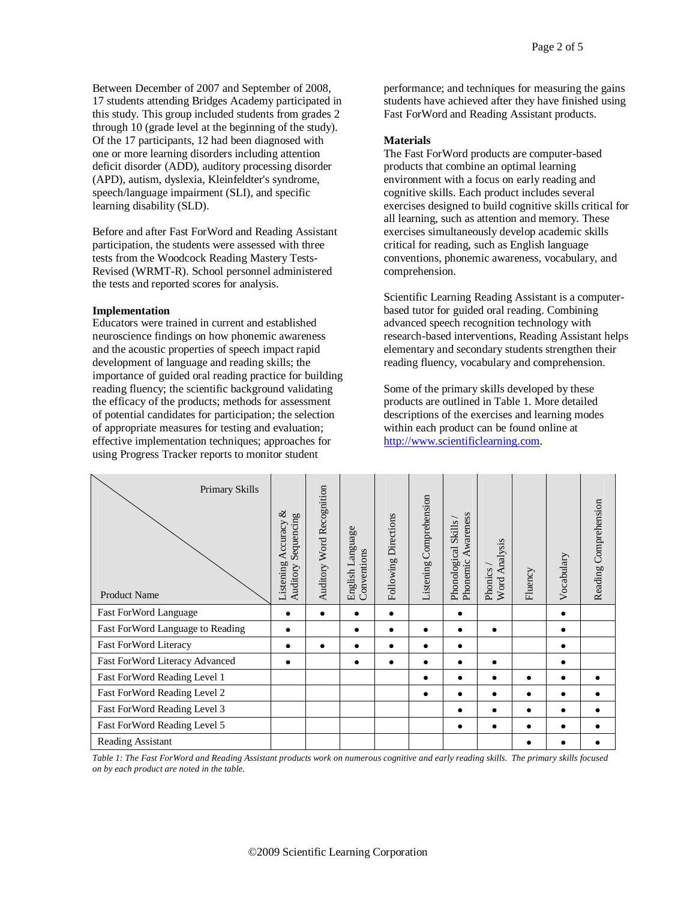Between December of 2007 and September of 2008, 17 students attending Bridges Academy participated in this study. This group included students from grades 2 through 10 (grade level at the beginning of the study). Of the 17 participants, 12 had been diagnosed with one or more learning disorders including attention deficit disorder (ADD), auditory processing disorder (APD), autism, dyslexia, Kleinfeldter's syndrome, speech/language impairment (SLI), and specific learning disability (SLD).

Before and after Fast ForWord and Reading Assistant participation, the students were assessed with three tests from the Woodcock Reading Mastery Tests-Revised (WRMT-R). School personnel administered the tests and reported scores for analysis.

#### **Implementation**

Educators were trained in current and established neuroscience findings on how phonemic awareness and the acoustic properties of speech impact rapid development of language and reading skills; the importance of guided oral reading practice for building reading fluency; the scientific background validating the efficacy of the products; methods for assessment of potential candidates for participation; the selection of appropriate measures for testing and evaluation; effective implementation techniques; approaches for using Progress Tracker reports to monitor student

performance; and techniques for measuring the gains students have achieved after they have finished using Fast ForWord and Reading Assistant products.

#### **Materials**

The Fast ForWord products are computer-based products that combine an optimal learning environment with a focus on early reading and cognitive skills. Each product includes several exercises designed to build cognitive skills critical for all learning, such as attention and memory. These exercises simultaneously develop academic skills critical for reading, such as English language conventions, phonemic awareness, vocabulary, and comprehension.

Scientific Learning Reading Assistant is a computerbased tutor for guided oral reading. Combining advanced speech recognition technology with research-based interventions, Reading Assistant helps elementary and secondary students strengthen their reading fluency, vocabulary and comprehension.

Some of the primary skills developed by these products are outlined in Table 1. More detailed descriptions of the exercises and learning modes within each product can be found online at http://www.scientificlearning.com.

| Primary Skills<br><b>Product Name</b> | ళ<br>Sequencing<br>Accuracy<br>Listening<br>Auditory | Word Recognition<br>Auditory | English Language<br>Conventions | Directions<br>Following | Comprehension<br>Listening | Awareness<br>Skills<br>Phonological<br>Phonemic | Analysis<br>Phonics<br>Word | Fluency | Vocabulary | Reading Comprehension |
|---------------------------------------|------------------------------------------------------|------------------------------|---------------------------------|-------------------------|----------------------------|-------------------------------------------------|-----------------------------|---------|------------|-----------------------|
| Fast ForWord Language                 |                                                      |                              |                                 |                         |                            |                                                 |                             |         |            |                       |
| Fast ForWord Language to Reading      | $\bullet$                                            |                              |                                 |                         |                            | ٠                                               | $\bullet$                   |         |            |                       |
| Fast ForWord Literacy                 |                                                      |                              |                                 |                         | ٠                          | $\bullet$                                       |                             |         |            |                       |
| Fast ForWord Literacy Advanced        |                                                      |                              |                                 |                         |                            | ٠                                               |                             |         |            |                       |
| Fast ForWord Reading Level 1          |                                                      |                              |                                 |                         | ٠                          | $\bullet$                                       | $\bullet$                   |         |            |                       |
| Fast For Word Reading Level 2         |                                                      |                              |                                 |                         | ٠                          | $\bullet$                                       | $\bullet$                   | ٠       |            |                       |
| Fast ForWord Reading Level 3          |                                                      |                              |                                 |                         |                            | ٠                                               |                             |         |            |                       |
| Fast ForWord Reading Level 5          |                                                      |                              |                                 |                         |                            | $\bullet$                                       | $\bullet$                   |         |            |                       |
| Reading Assistant                     |                                                      |                              |                                 |                         |                            |                                                 |                             |         |            |                       |

*Table 1: The Fast ForWord and Reading Assistant products work on numerous cognitive and early reading skills. The primary skills focused on by each product are noted in the table.*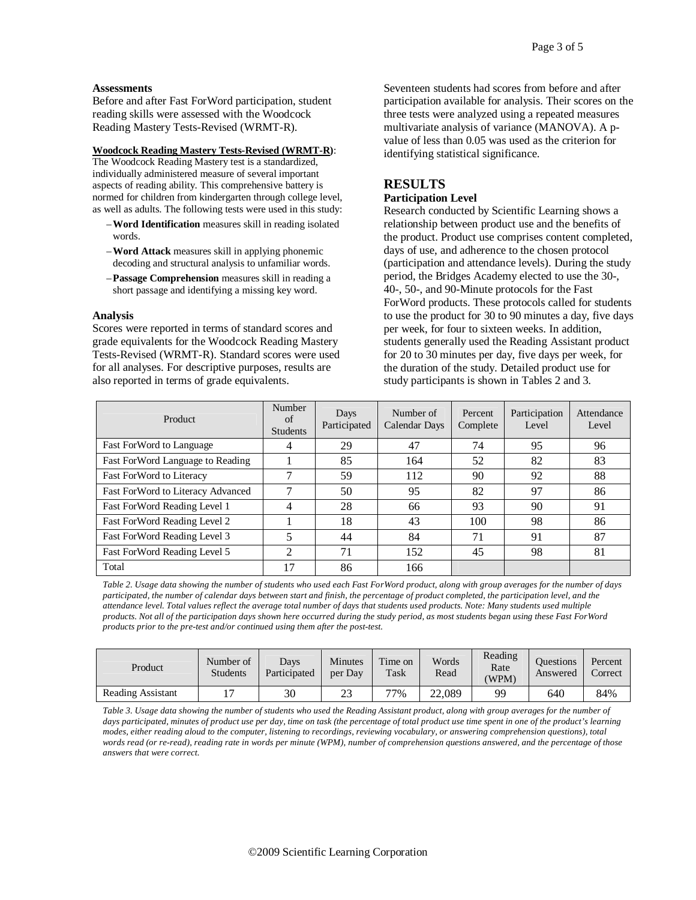#### **Assessments**

Before and after Fast ForWord participation, student reading skills were assessed with the Woodcock Reading Mastery Tests-Revised (WRMT-R).

#### **Woodcock Reading Mastery Tests-Revised (WRMT-R)**:

The Woodcock Reading Mastery test is a standardized, individually administered measure of several important aspects of reading ability. This comprehensive battery is normed for children from kindergarten through college level, as well as adults. The following tests were used in this study:

- –**Word Identification** measures skill in reading isolated words.
- –**Word Attack** measures skill in applying phonemic decoding and structural analysis to unfamiliar words.
- –**Passage Comprehension** measures skill in reading a short passage and identifying a missing key word.

#### **Analysis**

Scores were reported in terms of standard scores and grade equivalents for the Woodcock Reading Mastery Tests-Revised (WRMT-R). Standard scores were used for all analyses. For descriptive purposes, results are also reported in terms of grade equivalents.

Seventeen students had scores from before and after participation available for analysis. Their scores on the three tests were analyzed using a repeated measures multivariate analysis of variance (MANOVA). A pvalue of less than 0.05 was used as the criterion for identifying statistical significance.

# **RESULTS**

## **Participation Level**

Research conducted by Scientific Learning shows a relationship between product use and the benefits of the product. Product use comprises content completed, days of use, and adherence to the chosen protocol (participation and attendance levels). During the study period, the Bridges Academy elected to use the 30-, 40-, 50-, and 90-Minute protocols for the Fast ForWord products. These protocols called for students to use the product for 30 to 90 minutes a day, five days per week, for four to sixteen weeks. In addition, students generally used the Reading Assistant product for 20 to 30 minutes per day, five days per week, for the duration of the study. Detailed product use for study participants is shown in Tables 2 and 3.

| Product                           | Number<br>of<br><b>Students</b> | Days<br>Participated | Number of<br>Calendar Days | Percent<br>Complete | Participation<br>Level | Attendance<br>Level |
|-----------------------------------|---------------------------------|----------------------|----------------------------|---------------------|------------------------|---------------------|
| Fast ForWord to Language          | 4                               | 29                   | 47                         | 74                  | 95                     | 96                  |
| Fast ForWord Language to Reading  |                                 | 85                   | 164                        | 52                  | 82                     | 83                  |
| Fast ForWord to Literacy          |                                 | 59                   | 112                        | 90                  | 92                     | 88                  |
| Fast ForWord to Literacy Advanced | 7                               | 50                   | 95                         | 82                  | 97                     | 86                  |
| Fast ForWord Reading Level 1      | 4                               | 28                   | 66                         | 93                  | 90                     | 91                  |
| Fast For Word Reading Level 2     |                                 | 18                   | 43                         | 100                 | 98                     | 86                  |
| Fast ForWord Reading Level 3      |                                 | 44                   | 84                         | 71                  | 91                     | 87                  |
| Fast ForWord Reading Level 5      | ◠                               | 71                   | 152                        | 45                  | 98                     | 81                  |
| Total                             |                                 | 86                   | 166                        |                     |                        |                     |

*Table 2. Usage data showing the number of students who used each Fast ForWord product, along with group averages for the number of days*  participated, the number of calendar days between start and finish, the percentage of product completed, the participation level, and the *attendance level. Total values reflect the average total number of days that students used products. Note: Many students used multiple products. Not all of the participation days shown here occurred during the study period, as most students began using these Fast ForWord products prior to the pre-test and/or continued using them after the post-test.*

| Product                  | Number of<br><b>Students</b> | Davs<br>Participated | <b>Minutes</b><br>per Day | Time on<br>Task | Words<br>Read | Reading<br>Rate<br>(WPM) | <b>Ouestions</b><br>Answered | Percent<br>Correct |
|--------------------------|------------------------------|----------------------|---------------------------|-----------------|---------------|--------------------------|------------------------------|--------------------|
| <b>Reading Assistant</b> | $\overline{\phantom{0}}$     | 30                   | າາ<br>23                  | 77%             | 22,089        | 99                       | 640                          | 84%                |

*Table 3. Usage data showing the number of students who used the Reading Assistant product, along with group averages for the number of days participated, minutes of product use per day, time on task (the percentage of total product use time spent in one of the product's learning modes, either reading aloud to the computer, listening to recordings, reviewing vocabulary, or answering comprehension questions), total words read (or re-read), reading rate in words per minute (WPM), number of comprehension questions answered, and the percentage of those answers that were correct.*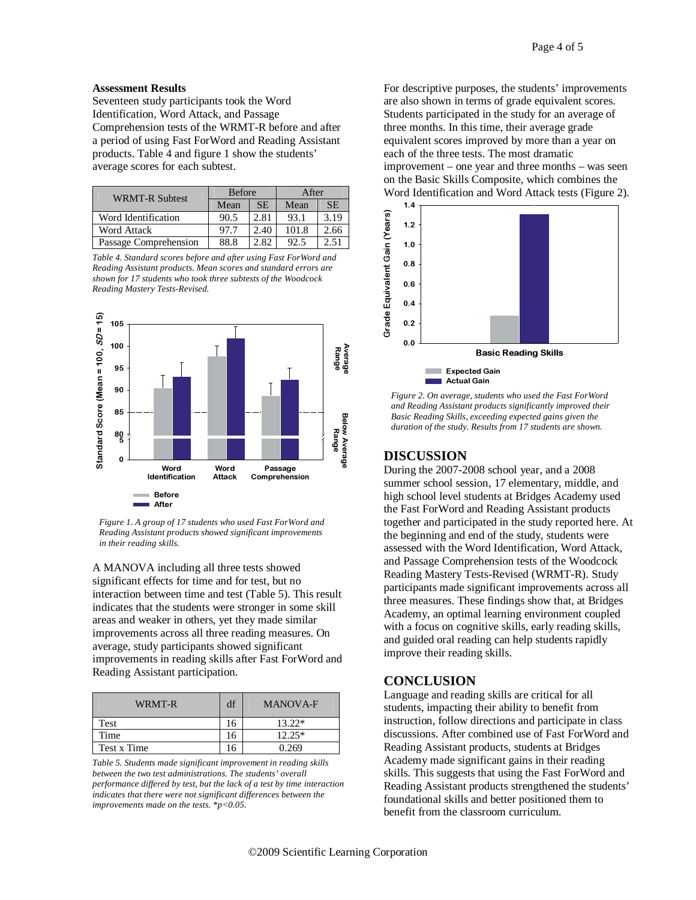#### **Assessment Results**

Seventeen study participants took the Word Identification, Word Attack, and Passage Comprehension tests of the WRMT-R before and after a period of using Fast ForWord and Reading Assistant products. Table 4 and figure 1 show the students' average scores for each subtest.

| <b>WRMT-R Subtest</b> | <b>Before</b> |           | After |           |  |
|-----------------------|---------------|-----------|-------|-----------|--|
|                       | Mean          | <b>SE</b> | Mean  | <b>SE</b> |  |
| Word Identification   | 90.5          | 2.81      | 93.1  | 3.19      |  |
| <b>Word Attack</b>    | 97.7          | 2.40      | 101.8 | 2.66      |  |
| Passage Comprehension | 88.8          | 2.82      | 92.5  | 2.51      |  |

*Table 4. Standard scores before and after using Fast ForWord and Reading Assistant products. Mean scores and standard errors are shown for 17 students who took three subtests of the Woodcock Reading Mastery Tests-Revised.* 



*Figure 1. A group of 17 students who used Fast ForWord and Reading Assistant products showed significant improvements in their reading skills.*

A MANOVA including all three tests showed significant effects for time and for test, but no interaction between time and test (Table 5). This result indicates that the students were stronger in some skill areas and weaker in others, yet they made similar improvements across all three reading measures. On average, study participants showed significant improvements in reading skills after Fast ForWord and Reading Assistant participation.

| WRMT-R      | df | <b>MANOVA-F</b> |
|-------------|----|-----------------|
| Test        |    | $13.22*$        |
| Time        | 16 | $12.25*$        |
| Test x Time |    | 0.269           |

*Table 5. Students made significant improvement in reading skills between the two test administrations. The students' overall performance differed by test, but the lack of a test by time interaction indicates that there were not significant differences between the improvements made on the tests. \*p<0.05.*

For descriptive purposes, the students' improvements are also shown in terms of grade equivalent scores. Students participated in the study for an average of three months. In this time, their average grade equivalent scores improved by more than a year on each of the three tests. The most dramatic improvement – one year and three months – was seen on the Basic Skills Composite, which combines the Word Identification and Word Attack tests (Figure 2).



*Figure 2. On average, students who used the Fast ForWord and Reading Assistant products significantly improved their Basic Reading Skills, exceeding expected gains given the duration of the study. Results from 17 students are shown.* 

## **DISCUSSION**

During the 2007-2008 school year, and a 2008 summer school session, 17 elementary, middle, and high school level students at Bridges Academy used the Fast ForWord and Reading Assistant products together and participated in the study reported here. At the beginning and end of the study, students were assessed with the Word Identification, Word Attack, and Passage Comprehension tests of the Woodcock Reading Mastery Tests-Revised (WRMT-R). Study participants made significant improvements across all three measures. These findings show that, at Bridges Academy, an optimal learning environment coupled with a focus on cognitive skills, early reading skills. and guided oral reading can help students rapidly improve their reading skills.

### **CONCLUSION**

Language and reading skills are critical for all students, impacting their ability to benefit from instruction, follow directions and participate in class discussions. After combined use of Fast ForWord and Reading Assistant products, students at Bridges Academy made significant gains in their reading skills. This suggests that using the Fast ForWord and Reading Assistant products strengthened the students' foundational skills and better positioned them to benefit from the classroom curriculum.